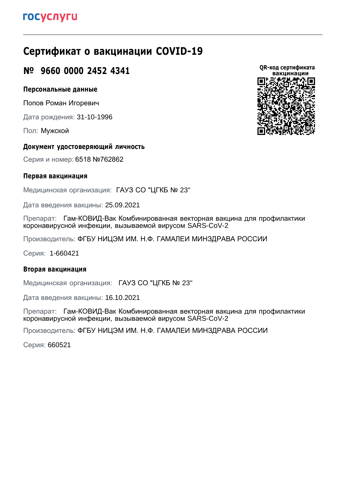# **Сертификат о вакцинации COVID-19**

### **№ 9660 0000 2452 4341**

### **Персональные данные**

Попов Роман Игоревич

Дата рождения: 31-10-1996

Пол: Мужской

### **Документ удостоверяющий личность**

Серия и номер: 6518 №762862

### **Первая вакцинация**

Медицинская организация: ГАУЗ СО "ЦГКБ № 23"

Дата введения вакцины: 25.09.2021

Препарат: Гам-КОВИД-Вак Комбинированная векторная вакцина для профилактики коронавирусной инфекции, вызываемой вирусом SARS-CoV-2

Производитель: ФГБУ НИЦЭМ ИМ. Н.Ф. ГАМАЛЕИ МИНЗДРАВА РОССИИ

Серия: 1-660421

### **Вторая вакцинация**

Медицинская организация: ГАУЗ СО "ЦГКБ № 23"

Дата введения вакцины: 16.10.2021

Препарат: Гам-КОВИД-Вак Комбинированная векторная вакцина для профилактики коронавирусной инфекции, вызываемой вирусом SARS-CoV-2

Производитель: ФГБУ НИЦЭМ ИМ. Н.Ф. ГАМАЛЕИ МИНЗДРАВА РОССИИ

Серия: 660521